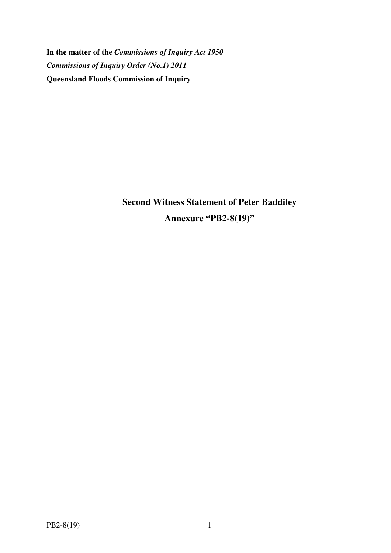**In the matter of the** *Commissions of Inquiry Act 1950 Commissions of Inquiry Order (No.1) 2011* **Queensland Floods Commission of Inquiry** 

> **Second Witness Statement of Peter Baddiley Annexure "PB2-8(19)"**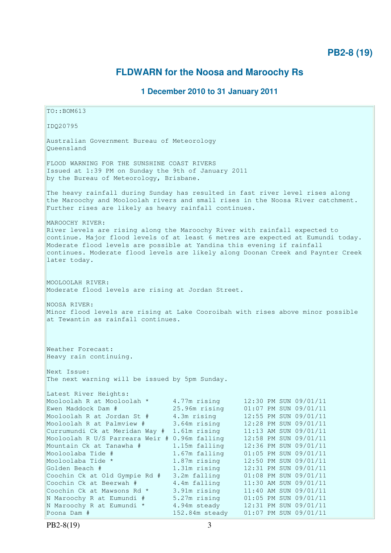# **FLDWARN for the Noosa and Maroochy Rs**

# **1 December 2010 to 31 January 2011**

TO::BOM613 IDQ20795 Australian Government Bureau of Meteorology Queensland FLOOD WARNING FOR THE SUNSHINE COAST RIVERS Issued at 1:39 PM on Sunday the 9th of January 2011 by the Bureau of Meteorology, Brisbane. The heavy rainfall during Sunday has resulted in fast river level rises along the Maroochy and Mooloolah rivers and small rises in the Noosa River catchment. Further rises are likely as heavy rainfall continues. MAROOCHY RIVER: River levels are rising along the Maroochy River with rainfall expected to continue. Major flood levels of at least 6 metres are expected at Eumundi today. Moderate flood levels are possible at Yandina this evening if rainfall continues. Moderate flood levels are likely along Doonan Creek and Paynter Creek later today. MOOLOOLAH RIVER: Moderate flood levels are rising at Jordan Street. NOOSA RIVER: Minor flood levels are rising at Lake Cooroibah with rises above minor possible at Tewantin as rainfall continues. Weather Forecast: Heavy rain continuing. Next Issue: The next warning will be issued by 5pm Sunday. Latest River Heights: Mooloolah R at Mooloolah \* 4.77m rising 12:30 PM SUN 09/01/11<br>Ewen Maddock Dam # 25.96m rising 01:07 PM SUN 09/01/11 Ewen Maddock Dam # 25.96m rising 01:07 PM SUN 09/01/11 Mooloolah R at Jordan St # 4.3m rising 12:55 PM SUN 09/01/11 Mooloolah R at Palmview # 3.64m rising 12:28 PM SUN 09/01/11 Currumundi Ck at Meridan Way # 1.61m rising 11:13 AM SUN 09/01/11 Mooloolah R U/S Parreara Weir # 0.96m falling 12:58 PM SUN 09/01/11 Mountain Ck at Tanawha # 1.15m falling 12:36 PM SUN 09/01/11 Mooloolaba Tide # 1.67m falling 01:05 PM SUN 09/01/11 Mooloolaba Tide \* 1.87m rising 12:50 PM SUN 09/01/11 Golden Beach # 1.31m rising 12:31 PM SUN 09/01/11 Coochin Ck at Old Gympie Rd # 3.2m falling 01:08 PM SUN 09/01/11 Coochin Ck at Beerwah # 4.4m falling 11:30 AM SUN 09/01/11 Coochin Ck at Mawsons Rd  $*$  3.91m rising 11:40 AM SUN 09/01/11 N Maroochy R at Eumundi # 5.27m rising 01:05 PM SUN 09/01/11 Coochin Ck at Old Gympie Ku # 3.2m idiing<br>
Coochin Ck at Beerwah # 4.4m falling 11:30 AM SUN 09/01/11<br>
Coochin Ck at Mawsons Rd \* 3.91m rising 11:40 AM SUN 09/01/11<br>
N Maroochy R at Eumundi \* 4.94m steady 12:31 PM SUN 09/0 Poona Dam # 152.84m steady 01:07 PM SUN 09/01/11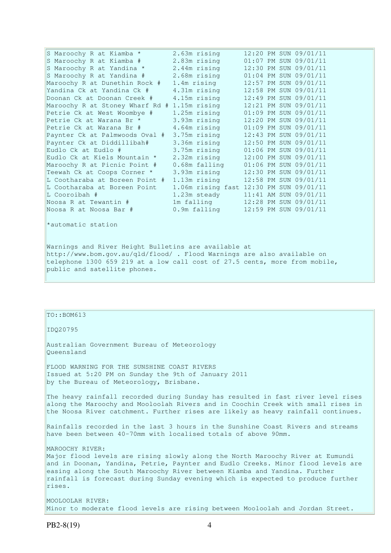| S Maroochy R at Kiamba *        | 2.63m rising                            |  | 12:20 PM SUN 09/01/11 |
|---------------------------------|-----------------------------------------|--|-----------------------|
| S Maroochy R at Kiamba #        | 2.83m rising                            |  | 01:07 PM SUN 09/01/11 |
| S Maroochy R at Yandina *       | 2.44m rising                            |  | 12:30 PM SUN 09/01/11 |
| S Maroochy R at Yandina #       | 2.68m rising                            |  | 01:04 PM SUN 09/01/11 |
| Maroochy R at Dunethin Rock #   | 1.4m rising                             |  | 12:57 PM SUN 09/01/11 |
| Yandina Ck at Yandina Ck #      | 4.31m rising                            |  | 12:58 PM SUN 09/01/11 |
| Doonan Ck at Doonan Creek #     | 4.15m rising                            |  | 12:49 PM SUN 09/01/11 |
| Maroochy R at Stoney Wharf Rd # | 1.15m rising                            |  | 12:21 PM SUN 09/01/11 |
| Petrie Ck at West Woombye #     | 1.25m rising                            |  | 01:09 PM SUN 09/01/11 |
| Petrie Ck at Warana Br *        | 3.93m rising                            |  | 12:20 PM SUN 09/01/11 |
| Petrie Ck at Warana Br #        | 4.64m rising                            |  | 01:09 PM SUN 09/01/11 |
| Paynter Ck at Palmwoods Oval #  | 3.75m rising                            |  | 12:43 PM SUN 09/01/11 |
| Paynter Ck at Diddillibah#      | 3.36m rising                            |  | 12:50 PM SUN 09/01/11 |
| Eudlo Ck at Eudlo #             | 3.75m rising                            |  | 01:06 PM SUN 09/01/11 |
| Eudlo Ck at Kiels Mountain *    | 2.32m rising                            |  | 12:00 PM SUN 09/01/11 |
| Maroochy R at Picnic Point #    | $0.68m$ falling                         |  | 01:06 PM SUN 09/01/11 |
| Teewah Ck at Coops Corner *     | 3.93m rising                            |  | 12:30 PM SUN 09/01/11 |
| L Cootharaba at Boreen Point #  | 1.13m rising                            |  | 12:58 PM SUN 09/01/11 |
| L Cootharaba at Boreen Point    | 1.06m rising fast 12:30 PM SUN 09/01/11 |  |                       |
| L Cooroibah #                   | 1.23m steady                            |  | 11:41 AM SUN 09/01/11 |
| Noosa R at Tewantin #           | 1m falling                              |  | 12:28 PM SUN 09/01/11 |
| Noosa R at Noosa Bar #          | 0.9m falling                            |  | 12:59 PM SUN 09/01/11 |

\*automatic station

Warnings and River Height Bulletins are available at http://www.bom.gov.au/qld/flood/ . Flood Warnings are also available on telephone 1300 659 219 at a low call cost of 27.5 cents, more from mobile, public and satellite phones.

# $TO::BOM613$

IDQ20795

Australian Government Bureau of Meteorology Queensland

FLOOD WARNING FOR THE SUNSHINE COAST RIVERS Issued at 5:20 PM on Sunday the 9th of January 2011 by the Bureau of Meteorology, Brisbane.

The heavy rainfall recorded during Sunday has resulted in fast river level rises along the Maroochy and Mooloolah Rivers and in Coochin Creek with small rises in the Noosa River catchment. Further rises are likely as heavy rainfall continues.

Rainfalls recorded in the last 3 hours in the Sunshine Coast Rivers and streams have been between 40-70mm with localised totals of above 90mm.

MAROOCHY RIVER:

Major flood levels are rising slowly along the North Maroochy River at Eumundi and in Doonan, Yandina, Petrie, Paynter and Eudlo Creeks. Minor flood levels are easing along the South Maroochy River between Kiamba and Yandina. Further rainfall is forecast during Sunday evening which is expected to produce further rises.

MOOLOOLAH RIVER: Minor to moderate flood levels are rising between Mooloolah and Jordan Street.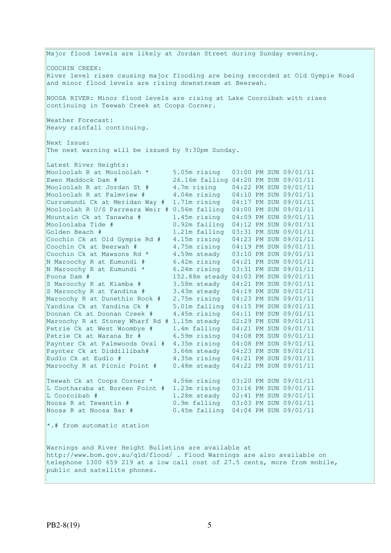Major flood levels are likely at Jordan Street during Sunday evening. COOCHIN CREEK: River level rises causing major flooding are being recorded at Old Gympie Road and minor flood levels are rising downstream at Beerwah. NOOSA RIVER: Minor flood levels are rising at Lake Cooroibah with rises continuing in Teewah Creek at Coops Corner. Weather Forecast: Heavy rainfall continuing. Next Issue: The next warning will be issued by 9:30pm Sunday. Latest River Heights: Mooloolah R at Mooloolah \* 5.05m rising 03:00 PM SUN 09/01/11 Ewen Maddock Dam # 26.16m falling 04:20 PM SUN 09/01/11 Mooloolah R at Jordan St # 4.7m rising 04:22 PM SUN 09/01/11 Mooloolah R at Palmview # 4.04m rising 04:10 PM SUN 09/01/11 Currumundi Ck at Meridan Way # 1.71m rising 04:17 PM SUN 09/01/11 Mooloolah R U/S Parreara Weir # 0.56m falling 04:00 PM SUN 09/01/11 Mountain Ck at Tanawha # 1.45m rising 04:09 PM SUN 09/01/11<br>Mooloolaba Tide # 0.92m falling 04:12 PM SUN 09/01/11 Mooloolaba Tide # 0.92m falling 04:12 PM SUN 09/01/11 Golden Beach # 1.21m falling 03:31 PM SUN 09/01/11 Coochin Ck at Old Gympie Rd # 4.15m rising 04:23 PM SUN 09/01/11 Coochin Ck at Beerwah # 4.75m rising 04:19 PM SUN 09/01/11 Coochin Ck at Mawsons Rd  $*$  4.59m steady 03:10 PM SUN 09/01/11 N Maroochy R at Eumundi # 6.42m rising 04:21 PM SUN 09/01/11 N Maroochy R at Eumundi \* 6.24m rising 03:31 PM SUN 09/01/11 Poona Dam # 152.88m steady 04:03 PM SUN 09/01/11 S Maroochy R at Kiamba # 3.58m steady 04:21 PM SUN 09/01/11 S Maroochy R at Yandina # 3.43m steady 04:19 PM SUN 09/01/11 Maroochy R at Dunethin Rock # 2.75m rising 04:23 PM SUN 09/01/11 Yandina Ck at Yandina Ck # 5.01m falling 04:15 PM SUN 09/01/11 Doonan Ck at Doonan Creek # 4.45m rising 04:11 PM SUN 09/01/11 Maroochy R at Stoney Wharf Rd # 1.15m steady 02:29 PM SUN 09/01/11 Petrie Ck at West Woombye # 1.4m falling 04:21 PM SUN 09/01/11 Petrie Ck at Warana Br # 6.59m rising 04:08 PM SUN 09/01/11 Paynter Ck at Palmwoods Oval # 4.35m rising 04:08 PM SUN 09/01/11 Paynter Ck at Diddillibah# 3.66m steady 04:23 PM SUN 09/01/11 Eudlo Ck at Eudlo # 4.35m rising 04:21 PM SUN 09/01/11 Maroochy R at Picnic Point # 0.48m steady 04:22 PM SUN 09/01/11 Teewah Ck at Coops Corner \* 4.56m rising 03:20 PM SUN 09/01/11 L Cootharaba at Boreen Point # 1.23m rising 03:16 PM SUN 09/01/11 L Cooroibah # 1.28m steady 02:41 PM SUN 09/01/11 Noosa R at Tewantin # 0.9m falling 03:03 PM SUN 09/01/11 Noosa R at Noosa Bar # 0.45m falling 04:04 PM SUN 09/01/11 \*.# from automatic station Warnings and River Height Bulletins are available at http://www.bom.gov.au/qld/flood/ . Flood Warnings are also available on telephone 1300 659 219 at a low call cost of 27.5 cents, more from mobile, public and satellite phones.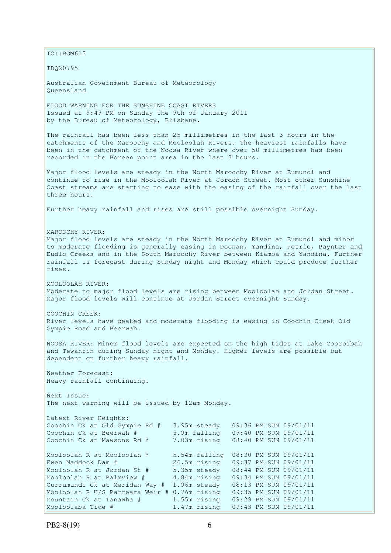$\vert$ TO::BOM613 IDQ20795 Australian Government Bureau of Meteorology Queensland FLOOD WARNING FOR THE SUNSHINE COAST RIVERS Issued at 9:49 PM on Sunday the 9th of January 2011 by the Bureau of Meteorology, Brisbane. The rainfall has been less than 25 millimetres in the last 3 hours in the catchments of the Maroochy and Mooloolah Rivers. The heaviest rainfalls have been in the catchment of the Noosa River where over 50 millimetres has been recorded in the Boreen point area in the last 3 hours. Major flood levels are steady in the North Maroochy River at Eumundi and continue to rise in the Mooloolah River at Jordon Street. Most other Sunshine Coast streams are starting to ease with the easing of the rainfall over the last three hours. Further heavy rainfall and rises are still possible overnight Sunday. MAROOCHY RIVER: Major flood levels are steady in the North Maroochy River at Eumundi and minor to moderate flooding is generally easing in Doonan, Yandina, Petrie, Paynter and Eudlo Creeks and in the South Maroochy River between Kiamba and Yandina. Further rainfall is forecast during Sunday night and Monday which could produce further rises. MOOLOOLAH RIVER: Moderate to major flood levels are rising between Mooloolah and Jordan Street. Major flood levels will continue at Jordan Street overnight Sunday. COOCHIN CREEK: River levels have peaked and moderate flooding is easing in Coochin Creek Old Gympie Road and Beerwah. NOOSA RIVER: Minor flood levels are expected on the high tides at Lake Cooroibah and Tewantin during Sunday night and Monday. Higher levels are possible but dependent on further heavy rainfall. Weather Forecast: Heavy rainfall continuing. Next Issue: The next warning will be issued by 12am Monday. Latest River Heights: Coochin Ck at Old Gympie Rd # 3.95m steady 09:36 PM SUN 09/01/11 Coochin Ck at Beerwah # 5.9m falling 09:40 PM SUN 09/01/11 7.03m rising 08:40 PM SUN 09/01/11 Coochin Ck at Mawsons Rd \* Mooloolah R at Mooloolah \* 5.54m falling 08:30 PM SUN 09/01/11 Ewen Maddock Dam # 26.5m rising 09:37 PM SUN 09/01/11 Mooloolah R at Jordan St # 5.35m steady 08:44 PM SUN 09/01/11 Mooloolah R at Palmview # 4.84m rising 09:34 PM SUN 09/01/11 Currumundi Ck at Meridan Way # 1.96m steady 08:13 PM SUN 09/01/11 Mooloolah R U/S Parreara Weir # 0.76m rising 09:35 PM SUN 09/01/11 Mountain Ck at Tanawha # 1.55m rising 09:29 PM SUN 09/01/11 Mooloolaba Tide # 1.47m rising 09:43 PM SUN 09/01/11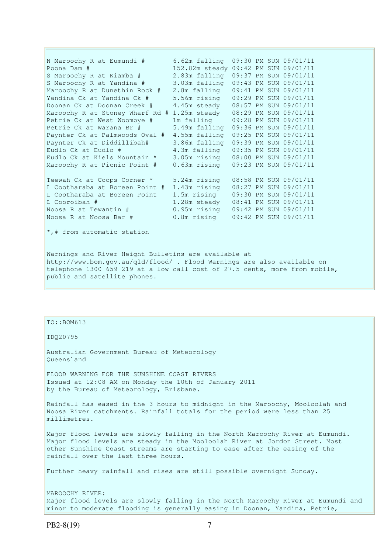N Maroochy R at Eumundi # 6.62m falling 09:30 PM SUN 09/01/11 Poona Dam # 152.82m steady 09:42 PM SUN 09/01/11 S Maroochy R at Kiamba # 2.83m falling 09:37 PM SUN 09/01/11 S Maroochy R at Yandina # 3.03m falling 09:43 PM SUN 09/01/11 Maroochy R at Dunethin Rock # 2.8m falling 09:41 PM SUN 09/01/11 Yandina Ck at Yandina Ck # 5.56m rising 09:29 PM SUN 09/01/11 Doonan Ck at Doonan Creek # 4.45m steady 08:57 PM SUN 09/01/11 Maroochy R at Stoney Wharf Rd # 1.25m steady 08:29 PM SUN 09/01/11 Petrie Ck at West Woombye # 1m falling 09:28 PM SUN 09/01/11 Petrie Ck at Warana Br # 5.49m falling 09:36 PM SUN 09/01/11 Paynter Ck at Palmwoods Oval # 4.55m falling 09:25 PM SUN 09/01/11 Paynter Ck at Diddillibah# 3.86m falling 09:39 PM SUN 09/01/11 Eudlo Ck at Eudlo # 4.3m falling 09:35 PM SUN 09/01/11 Eudlo Ck at Kiels Mountain \* 3.05m rising 08:00 PM SUN 09/01/11 Maroochy R at Picnic Point # 0.63m rising 09:23 PM SUN 09/01/11 Teewah Ck at Coops Corner \* 5.24m rising 08:58 PM SUN 09/01/11 L Cootharaba at Boreen Point # 1.43m rising 08:27 PM SUN 09/01/11 L Cootharaba at Boreen Point 1.5m rising 09:30 PM SUN 09/01/11 L Cooroibah # 1.28m steady 08:41 PM SUN 09/01/11 Noosa R at Tewantin # 0.95m rising 09:42 PM SUN 09/01/11 Noosa R at Noosa Bar # 0.8m rising 09:42 PM SUN 09/01/11 \*,# from automatic station Warnings and River Height Bulletins are available at http://www.bom.gov.au/qld/flood/ . Flood Warnings are also available on

telephone 1300 659 219 at a low call cost of 27.5 cents, more from mobile, public and satellite phones.

### TO::BOM613

IDQ20795

Australian Government Bureau of Meteorology Queensland

FLOOD WARNING FOR THE SUNSHINE COAST RIVERS Issued at 12:08 AM on Monday the 10th of January 2011 by the Bureau of Meteorology, Brisbane.

Rainfall has eased in the 3 hours to midnight in the Maroochy, Mooloolah and Noosa River catchments. Rainfall totals for the period were less than 25 millimetres.

Major flood levels are slowly falling in the North Maroochy River at Eumundi. Major flood levels are steady in the Mooloolah River at Jordon Street. Most other Sunshine Coast streams are starting to ease after the easing of the rainfall over the last three hours.

Further heavy rainfall and rises are still possible overnight Sunday.

MAROOCHY RIVER: Major flood levels are slowly falling in the North Maroochy River at Eumundi and minor to moderate flooding is generally easing in Doonan, Yandina, Petrie,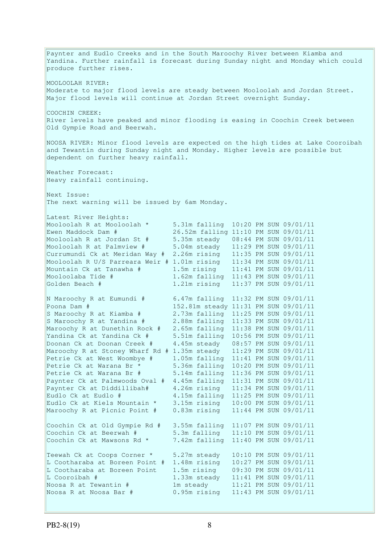Paynter and Eudlo Creeks and in the South Maroochy River between Kiamba and Yandina. Further rainfall is forecast during Sunday night and Monday which could produce further rises. MOOLOOLAH RIVER: Moderate to major flood levels are steady between Mooloolah and Jordan Street. Major flood levels will continue at Jordan Street overnight Sunday. COOCHIN CREEK: River levels have peaked and minor flooding is easing in Coochin Creek between Old Gympie Road and Beerwah. NOOSA RIVER: Minor flood levels are expected on the high tides at Lake Cooroibah and Tewantin during Sunday night and Monday. Higher levels are possible but dependent on further heavy rainfall. Weather Forecast: Heavy rainfall continuing. Next Issue: The next warning will be issued by 6am Monday. Latest River Heights: Mooloolah R at Mooloolah \* 5.31m falling 10:20 PM SUN 09/01/11 Ewen Maddock Dam # 26.52m falling 11:10 PM SUN 09/01/11 Mooloolah R at Jordan St # 5.35m steady 08:44 PM SUN 09/01/11 Mooloolah R at Palmview # 5.04m steady 11:29 PM SUN 09/01/11 Currumundi Ck at Meridan Way # 2.26m rising 11:35 PM SUN 09/01/11 Mooloolah R U/S Parreara Weir # 1.01m rising 11:34 PM SUN 09/01/11 Mountain Ck at Tanawha # 1.5m rising 11:41 PM SUN 09/01/11 Mountain Ck at Tanawha # 1.5m rising 11:41 PM SUN 09/01/11<br>Mooloolaba Tide # 1.62m falling 11:43 PM SUN 09/01/11 Golden Beach # 1.21m rising 11:37 PM SUN 09/01/11 N Maroochy R at Eumundi # 6.47m falling 11:32 PM SUN 09/01/11 Poona Dam # 152.81m steady 11:31 PM SUN 09/01/11 S Maroochy R at Kiamba # 2.73m falling 11:25 PM SUN 09/01/11 S Maroochy R at Yandina # 2.88m falling 11:33 PM SUN 09/01/11 Maroochy R at Dunethin Rock # 2.65m falling 11:38 PM SUN 09/01/11 Yandina Ck at Yandina Ck # 5.51m falling 10:56 PM SUN 09/01/11 Doonan Ck at Doonan Creek # 4.45m steady 08:57 PM SUN 09/01/11 Maroochy R at Stoney Wharf Rd # 1.35m steady 11:29 PM SUN 09/01/11 Petrie Ck at West Woombye # 1.05m falling 11:41 PM SUN 09/01/11 Petrie Ck at Warana Br \* 5.36m falling 10:20 PM SUN 09/01/11 Petrie Ck at Warana Br # 5.14m falling 11:36 PM SUN 09/01/11 Paynter Ck at Palmwoods Oval # 4.45m falling 11:31 PM SUN 09/01/11 Paynter Ck at Diddillibah# 4.26m rising 11:34 PM SUN 09/01/11 Eudlo Ck at Eudlo # 4.15m falling 11:25 PM SUN 09/01/11 Eudlo Ck at Kiels Mountain \* 3.15m rising 10:00 PM SUN 09/01/11 Maroochy R at Picnic Point # 0.83m rising 11:44 PM SUN 09/01/11 Coochin Ck at Old Gympie Rd # 3.55m falling 11:07 PM SUN 09/01/11 Coochin Ck at Beerwah # 5.3m falling 11:10 PM SUN 09/01/11 Coochin Ck at Mawsons Rd \* 7.42m falling 11:40 PM SUN 09/01/11 Teewah Ck at Coops Corner \* 5.27m steady 10:10 PM SUN 09/01/11 L Cootharaba at Boreen Point # 1.48m rising 10:27 PM SUN 09/01/11 L Cootharaba at Boreen Point 1.5m rising 09:30 PM SUN 09/01/11 L Cooroibah # 1.33m steady 11:41 PM SUN 09/01/11 Noosa R at Tewantin # 1m steady 11:21 PM SUN 09/01/11 Noosa R at Noosa Bar # 0.95m rising 11:43 PM SUN 09/01/11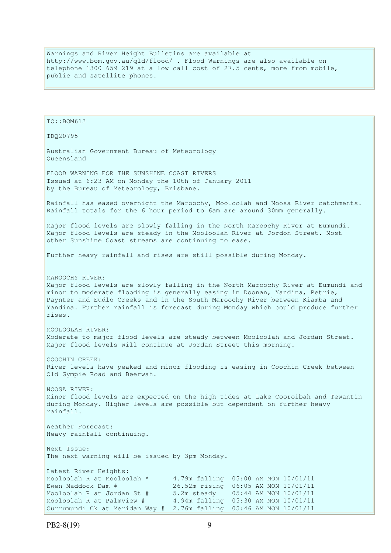Warnings and River Height Bulletins are available at http://www.bom.gov.au/qld/flood/ . Flood Warnings are also available on telephone 1300 659 219 at a low call cost of 27.5 cents, more from mobile, public and satellite phones.

```
TO::BOM613 
IDQ20795 
Australian Government Bureau of Meteorology 
Queensland 
FLOOD WARNING FOR THE SUNSHINE COAST RIVERS 
Issued at 6:23 AM on Monday the 10th of January 2011 
by the Bureau of Meteorology, Brisbane.
Rainfall has eased overnight the Maroochy, Mooloolah and Noosa River catchments. 
Rainfall totals for the 6 hour period to 6am are around 30mm generally. 
Major flood levels are slowly falling in the North Maroochy River at Eumundi. 
Major flood levels are steady in the Mooloolah River at Jordon Street. Most
other Sunshine Coast streams are continuing to ease. 
Further heavy rainfall and rises are still possible during Monday. 
MAROOCHY RIVER: 
Major flood levels are slowly falling in the North Maroochy River at Eumundi and 
minor to moderate flooding is generally easing in Doonan, Yandina, Petrie, 
Paynter and Eudlo Creeks and in the South Maroochy River between Kiamba and 
Yandina. Further rainfall is forecast during Monday which could produce further 
rises. 
MOOLOOLAH RIVER: 
Moderate to major flood levels are steady between Mooloolah and Jordan Street. 
Major flood levels will continue at Jordan Street this morning. 
COOCHIN CREEK: 
River levels have peaked and minor flooding is easing in Coochin Creek between 
Old Gympie Road and Beerwah. 
NOOSA RIVER: 
Minor flood levels are expected on the high tides at Lake Cooroibah and Tewantin 
during Monday. Higher levels are possible but dependent on further heavy 
rainfall. 
Weather Forecast: 
Heavy rainfall continuing. 
Next Issue: 
The next warning will be issued by 3pm Monday. 
Latest River Heights:
Mooloolah R at Mooloolah * 4.79m falling 05:00 AM MON 10/01/11 
Ewen Maddock Dam # 26.52m rising 06:05 AM MON 10/01/11
Mooloolah R at Jordan St # 5.2m steady 05:44 AM MON 10/01/11 
Mooloolah R at Palmview # 4.94m falling 05:30 AM MON 10/01/11 
Currumundi Ck at Meridan Way # 2.76m falling 05:46 AM MON 10/01/11
```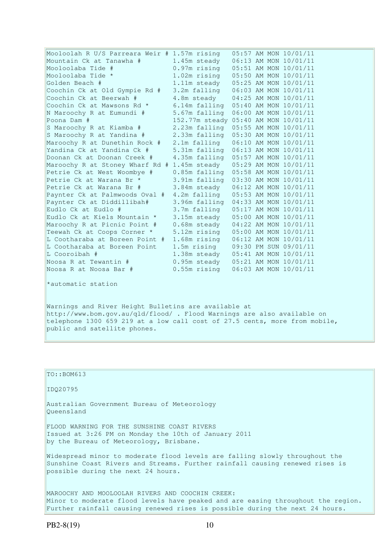| Mooloolah R U/S Parreara Weir # 1.57m rising                                                                                    |                                      |  | 05:57 AM MON 10/01/11 |
|---------------------------------------------------------------------------------------------------------------------------------|--------------------------------------|--|-----------------------|
| Mountain Ck at Tanawha #                                                                                                        | 1.45m steady                         |  | 06:13 AM MON 10/01/11 |
| Mooloolaba Tide #                                                                                                               | 0.97m rising                         |  | 05:51 AM MON 10/01/11 |
| Mooloolaba Tide *                                                                                                               | 1.02m rising                         |  | 05:50 AM MON 10/01/11 |
| Golden Beach #                                                                                                                  | 1.11m steady                         |  | 05:25 AM MON 10/01/11 |
| Coochin Ck at Old Gympie Rd #                                                                                                   | 3.2m falling                         |  | 06:03 AM MON 10/01/11 |
| Coochin Ck at Beerwah #                                                                                                         | 4.8m steady                          |  | 04:25 AM MON 10/01/11 |
| Coochin Ck at Mawsons Rd *                                                                                                      | 6.14m falling                        |  | 05:40 AM MON 10/01/11 |
| N Maroochy R at Eumundi #                                                                                                       | 5.67m falling                        |  | 06:00 AM MON 10/01/11 |
| Poona Dam #                                                                                                                     | 152.77m steady 05:40 AM MON 10/01/11 |  |                       |
| S Maroochy R at Kiamba #                                                                                                        | 2.23m falling                        |  | 05:55 AM MON 10/01/11 |
| S Maroochy R at Yandina #                                                                                                       | 2.33m falling                        |  | 05:30 AM MON 10/01/11 |
| Maroochy R at Dunethin Rock #                                                                                                   | 2.1m falling                         |  | 06:10 AM MON 10/01/11 |
| Yandina Ck at Yandina Ck #                                                                                                      | 5.31m falling                        |  | 06:13 AM MON 10/01/11 |
| Doonan Ck at Doonan Creek #                                                                                                     | 4.35m falling                        |  | 05:57 AM MON 10/01/11 |
| Maroochy R at Stoney Wharf Rd # 1.45m steady                                                                                    |                                      |  | 05:29 AM MON 10/01/11 |
| Petrie Ck at West Woombye #                                                                                                     | 0.85m falling                        |  | 05:58 AM MON 10/01/11 |
| Petrie Ck at Warana Br *                                                                                                        | 3.91m falling                        |  | 03:30 AM MON 10/01/11 |
| Petrie Ck at Warana Br #                                                                                                        | 3.84m steady                         |  | 06:12 AM MON 10/01/11 |
| Paynter Ck at Palmwoods Oval #                                                                                                  | 4.2m falling                         |  | 05:53 AM MON 10/01/11 |
| Paynter Ck at Diddillibah#                                                                                                      | 3.96m falling                        |  | 04:33 AM MON 10/01/11 |
| Eudlo Ck at Eudlo #                                                                                                             | 3.7m falling                         |  | 05:17 AM MON 10/01/11 |
| Eudlo Ck at Kiels Mountain *                                                                                                    | 3.15m steady                         |  | 05:00 AM MON 10/01/11 |
| Maroochy R at Picnic Point #                                                                                                    | 0.68m steady                         |  | 04:22 AM MON 10/01/11 |
| Teewah Ck at Coops Corner *                                                                                                     | 5.12m rising                         |  | 05:00 AM MON 10/01/11 |
| L Cootharaba at Boreen Point #                                                                                                  | 1.68m rising                         |  | 06:12 AM MON 10/01/11 |
| L Cootharaba at Boreen Point                                                                                                    | 1.5m rising                          |  | 09:30 PM SUN 09/01/11 |
| L Cooroibah #                                                                                                                   | 1.38m steady                         |  | 05:41 AM MON 10/01/11 |
| Noosa R at Tewantin #                                                                                                           | 0.95m steady                         |  | 05:21 AM MON 10/01/11 |
| Noosa R at Noosa Bar #                                                                                                          | $0.55m$ rising                       |  | 06:03 AM MON 10/01/11 |
| *automatic station                                                                                                              |                                      |  |                       |
| Warnings and River Height Bulletins are available at<br>http://www.bom.gov.au/qld/flood/ . Flood Warnings are also available on |                                      |  |                       |
|                                                                                                                                 |                                      |  |                       |

telephone 1300 659 219 at a low call cost of 27.5 cents, more from mobile, public and satellite phones.

| $TO: BOM613$                                                                                                                                                                                                         |
|----------------------------------------------------------------------------------------------------------------------------------------------------------------------------------------------------------------------|
| ID020795                                                                                                                                                                                                             |
| Australian Government Bureau of Meteorology<br>Oueensland                                                                                                                                                            |
| FLOOD WARNING FOR THE SUNSHINE COAST RIVERS<br>Issued at 3:26 PM on Monday the 10th of January 2011<br>by the Bureau of Meteorology, Brisbane.                                                                       |
| Widespread minor to moderate flood levels are falling slowly throughout the<br>Sunshine Coast Rivers and Streams. Further rainfall causing renewed rises is<br>possible during the next 24 hours.                    |
| MAROOCHY AND MOOLOOLAH RIVERS AND COOCHIN CREEK:<br>Minor to moderate flood levels have peaked and are easing throughout the region.<br>Further rainfall causing renewed rises is possible during the next 24 hours. |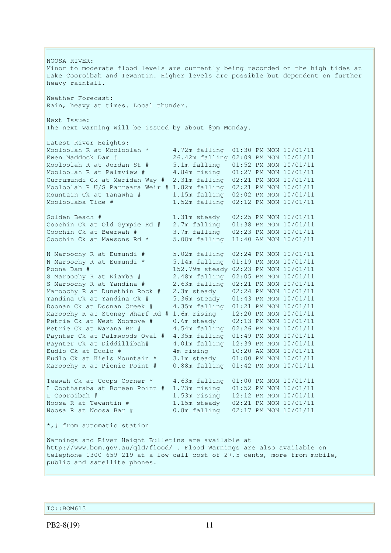NOOSA RIVER: Minor to moderate flood levels are currently being recorded on the high tides at Lake Cooroibah and Tewantin. Higher levels are possible but dependent on further heavy rainfall. Weather Forecast: Rain, heavy at times. Local thunder. Next Issue: The next warning will be issued by about 8pm Monday. Latest River Heights: Mooloolah R at Mooloolah \* 4.72m falling 01:30 PM MON 10/01/11 Ewen Maddock Dam # 26.42m falling 02:09 PM MON 10/01/11 Mooloolah R at Jordan St # 5.1m falling 01:52 PM MON 10/01/11 Mooloolah R at Palmview # 4.84m rising 01:27 PM MON 10/01/11 Currumundi Ck at Meridan Way # 2.31m falling 02:21 PM MON 10/01/11 Mooloolah R U/S Parreara Weir # 1.82m falling 02:21 PM MON 10/01/11 Mountain Ck at Tanawha # 1.15m falling 02:02 PM MON 10/01/11 Mooloolaba Tide # 1.52m falling 02:12 PM MON 10/01/11 Golden Beach # 1.31m steady 02:25 PM MON 10/01/11 Coochin Ck at Old Gympie Rd # 2.7m falling 01:38 PM MON 10/01/11 Coochin Ck at Beerwah # 3.7m falling 02:23 PM MON 10/01/11 Coochin Ck at Mawsons Rd  $*$  5.08m falling  $11:40$  AM MON  $10/01/11$ N Maroochy R at Eumundi # 5.02m falling 02:24 PM MON 10/01/11 N Maroochy R at Eumundi \* 5.14m falling 01:19 PM MON 10/01/11 Poona Dam # 152.79m steady 02:23 PM MON 10/01/11 S Maroochy R at Kiamba # 2.48m falling 02:05 PM MON 10/01/11 S Maroochy R at Yandina # 2.63m falling 02:21 PM MON 10/01/11 Maroochy R at Dunethin Rock # 2.3m steady 02:24 PM MON 10/01/11 Yandina Ck at Yandina Ck # 5.36m steady 01:43 PM MON 10/01/11 Doonan Ck at Doonan Creek # 4.35m falling 01:21 PM MON 10/01/11 Maroochy R at Stoney Wharf Rd # 1.6m rising 12:20 PM MON 10/01/11 Petrie Ck at West Woombye # 0.6m steady 02:13 PM MON 10/01/11 Petrie Ck at Warana Br # 4.54m falling 02:26 PM MON 10/01/11 Paynter Ck at Palmwoods Oval # 4.35m falling 01:49 PM MON 10/01/11 Paynter Ck at Diddillibah# 4.01m falling 12:39 PM MON 10/01/11 Eudlo Ck at Eudlo # 4m rising 10:20 AM MON 10/01/11 Eudlo Ck at Kiels Mountain \* 3.1m steady 01:00 PM MON 10/01/11 Maroochy R at Picnic Point # 0.88m falling 01:42 PM MON 10/01/11 Teewah Ck at Coops Corner \* 4.63m falling 01:00 PM MON 10/01/11 L Cootharaba at Boreen Point  $\#$  1.73m rising 01:52 PM MON 10/01/11<br>L Cooroibah  $\#$  1.53m rising 12:12 PM MON 10/01/11 1.53m rising 12:12 PM MON 10/01/11 Noosa R at Tewantin # 1.15m steady 02:21 PM MON 10/01/11 Noosa R at Noosa Bar # 0.8m falling 02:17 PM MON 10/01/11 \*,# from automatic station Warnings and River Height Bulletins are available at http://www.bom.gov.au/qld/flood/ . Flood Warnings are also available on telephone 1300 659 219 at a low call cost of 27.5 cents, more from mobile, public and satellite phones.

TO::BOM613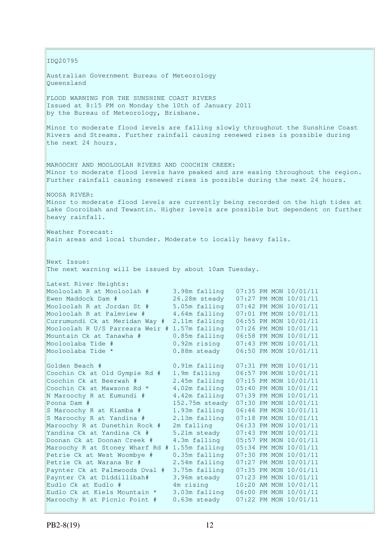IDQ20795 Australian Government Bureau of Meteorology Queensland FLOOD WARNING FOR THE SUNSHINE COAST RIVERS Issued at 8:15 PM on Monday the 10th of January 2011 by the Bureau of Meteorology, Brisbane. Minor to moderate flood levels are falling slowly throughout the Sunshine Coast Rivers and Streams. Further rainfall causing renewed rises is possible during the next 24 hours. MAROOCHY AND MOOLOOLAH RIVERS AND COOCHIN CREEK: Minor to moderate flood levels have peaked and are easing throughout the region. Further rainfall causing renewed rises is possible during the next 24 hours. NOOSA RIVER: Minor to moderate flood levels are currently being recorded on the high tides at Lake Cooroibah and Tewantin. Higher levels are possible but dependent on further heavy rainfall. Weather Forecast: Rain areas and local thunder. Moderate to locally heavy falls. Next Issue: The next warning will be issued by about 10am Tuesday. Latest River Heights: Mooloolah R at Mooloolah # 3.98m falling 07:35 PM MON 10/01/11 Ewen Maddock Dam # 26.28m steady 07:27 PM MON 10/01/11 Mooloolah R at Jordan St # 5.05m falling 07:42 PM MON 10/01/11 Mooloolah R at Palmview # 4.64m falling 07:01 PM MON 10/01/11 Currumundi Ck at Meridan Way # 2.11m falling 06:55 PM MON 10/01/11 Mooloolah R U/S Parreara Weir # 1.57m falling 07:26 PM MON 10/01/11 Mountain Ck at Tanawha # 0.85m falling 06:58 PM MON 10/01/11 Mooloolaba Tide # 0.92m rising 07:43 PM MON 10/01/11 Mooloolaba Tide \* 0.88m steady 06:50 PM MON 10/01/11 Golden Beach # 0.91m falling 07:31 PM MON 10/01/11 Coochin Ck at Old Gympie Rd # 1.9m falling 06:57 PM MON 10/01/11 Coochin Ck at Beerwah # 2.45m falling 07:15 PM MON 10/01/11 Coochin Ck at Mawsons Rd  $*$  4.02m falling  $05:40$  PM MON  $10/01/11$ N Maroochy R at Eumundi # 4.42m falling 07:39 PM MON 10/01/11 Poona Dam # 152.75m steady 07:30 PM MON 10/01/11 S Maroochy R at Kiamba # 1.93m falling 06:46 PM MON 10/01/11 S Maroochy R at Yandina # 2.13m falling 07:18 PM MON 10/01/11 Maroochy R at Dunethin Rock # 2m falling 06:33 PM MON 10/01/11 Yandina Ck at Yandina Ck # 5.21m steady 07:43 PM MON 10/01/11 Doonan Ck at Doonan Creek # 4.3m falling 05:57 PM MON 10/01/11 Maroochy R at Stoney Wharf Rd # 1.55m falling 05:34 PM MON 10/01/11 Petrie Ck at West Woombye # 0.35m falling 07:30 PM MON 10/01/11 Petrie Ck at Warana Br # 2.54m falling 07:27 PM MON 10/01/11 Paynter Ck at Palmwoods Oval # 3.75m falling 07:35 PM MON 10/01/11 Paynter Ck at Diddillibah# 3.96m steady 07:23 PM MON 10/01/11 Eudlo Ck at Eudlo # 4m rising 10:20 AM MON 10/01/11 Eudlo Ck at Kiels Mountain \* 3.03m falling 06:00 PM MON 10/01/11 Maroochy R at Picnic Point # 0.63m steady 07:22 PM MON 10/01/11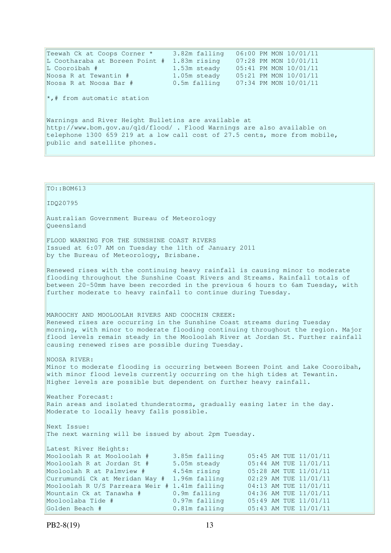Teewah Ck at Coops Corner \* 3.82m falling 06:00 PM MON 10/01/11 L Cootharaba at Boreen Point # 1.83m rising 07:28 PM MON 10/01/11 L Cooroibah # 1.53m steady 05:41 PM MON 10/01/11 Noosa R at Tewantin # 1.05m steady 05:21 PM MON 10/01/11 Noosa R at Noosa Bar # 0.5m falling 07:34 PM MON 10/01/11  $\star$ ,# from automatic station Warnings and River Height Bulletins are available at http://www.bom.gov.au/qld/flood/ . Flood Warnings are also available on telephone 1300 659 219 at a low call cost of 27.5 cents, more from mobile, public and satellite phones. TO::BOM613 IDQ20795 Australian Government Bureau of Meteorology Queensland FLOOD WARNING FOR THE SUNSHINE COAST RIVERS Issued at 6:07 AM on Tuesday the 11th of January 2011 by the Bureau of Meteorology, Brisbane.

Renewed rises with the continuing heavy rainfall is causing minor to moderate flooding throughout the Sunshine Coast Rivers and Streams. Rainfall totals of between 20-50mm have been recorded in the previous 6 hours to 6am Tuesday, with further moderate to heavy rainfall to continue during Tuesday.

MAROOCHY AND MOOLOOLAH RIVERS AND COOCHIN CREEK: Renewed rises are occurring in the Sunshine Coast streams during Tuesday morning, with minor to moderate flooding continuing throughout the region. Major flood levels remain steady in the Mooloolah River at Jordan St. Further rainfall causing renewed rises are possible during Tuesday.

NOOSA RIVER: Minor to moderate flooding is occurring between Boreen Point and Lake Cooroibah, with minor flood levels currently occurring on the high tides at Tewantin. Higher levels are possible but dependent on further heavy rainfall.

Weather Forecast: Rain areas and isolated thunderstorms, gradually easing later in the day. Moderate to locally heavy falls possible.

Next Issue: The next warning will be issued by about 2pm Tuesday.

Latest River Heights: Mooloolah R at Mooloolah # 3.85m falling 05:45 AM TUE 11/01/11 Mooloolah R at Jordan St # 5.05m steady 05:44 AM TUE 11/01/11 Mooloolah R at Palmview # 4.54m rising 05:28 AM TUE 11/01/11 Currumundi Ck at Meridan Way # 1.96m falling 02:29 AM TUE 11/01/11 Mooloolah R U/S Parreara Weir # 1.41m falling 04:13 AM TUE 11/01/11 Mountain Ck at Tanawha # 0.9m falling 04:36 AM TUE 11/01/11 Mooloolaba Tide # 0.97m falling 05:49 AM TUE 11/01/11 Golden Beach # 0.81m falling 05:43 AM TUE 11/01/11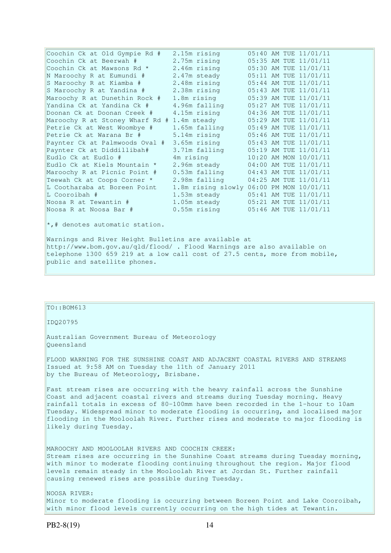| Coochin Ck at Old Gympie Rd #   | 2.15m rising       |  | 05:40 AM TUE 11/01/11 |
|---------------------------------|--------------------|--|-----------------------|
| Coochin Ck at Beerwah #         | 2.75m rising       |  | 05:35 AM TUE 11/01/11 |
| Coochin Ck at Mawsons Rd *      | 2.46m rising       |  | 05:30 AM TUE 11/01/11 |
| N Maroochy R at Eumundi #       | 2.47m steady       |  | 05:11 AM TUE 11/01/11 |
| S Maroochy R at Kiamba #        | 2.48m rising       |  | 05:44 AM TUE 11/01/11 |
| S Maroochy R at Yandina #       | 2.38m rising       |  | 05:43 AM TUE 11/01/11 |
| Maroochy R at Dunethin Rock #   | 1.8m rising        |  | 05:39 AM TUE 11/01/11 |
| Yandina Ck at Yandina Ck #      | 4.96m falling      |  | 05:27 AM TUE 11/01/11 |
| Doonan Ck at Doonan Creek #     | 4.15m rising       |  | 04:36 AM TUE 11/01/11 |
| Maroochy R at Stoney Wharf Rd # | 1.4m steady        |  | 05:29 AM TUE 11/01/11 |
| Petrie Ck at West Woombye #     | 1.65m falling      |  | 05:49 AM TUE 11/01/11 |
| Petrie Ck at Warana Br #        | 5.14m rising       |  | 05:46 AM TUE 11/01/11 |
| Paynter Ck at Palmwoods Oval #  | 3.65m rising       |  | 05:43 AM TUE 11/01/11 |
| Paynter Ck at Diddillibah#      | 3.71m falling      |  | 05:19 AM TUE 11/01/11 |
| Eudlo Ck at Eudlo #             | 4m rising          |  | 10:20 AM MON 10/01/11 |
| Eudlo Ck at Kiels Mountain *    | 2.96m steady       |  | 04:00 AM TUE 11/01/11 |
| Maroochy R at Picnic Point #    | $0.53m$ falling    |  | 04:43 AM TUE 11/01/11 |
| Teewah Ck at Coops Corner *     | 2.98m falling      |  | 04:25 AM TUE 11/01/11 |
| L Cootharaba at Boreen Point    | 1.8m rising slowly |  | 06:00 PM MON 10/01/11 |
| L Cooroibah #                   | 1.53m steady       |  | 05:41 AM TUE 11/01/11 |
| Noosa R at Tewantin #           | 1.05m steady       |  | 05:21 AM TUE 11/01/11 |
| Noosa R at Noosa Bar #          | 0.55m rising       |  | 05:46 AM TUE 11/01/11 |

\*,# denotes automatic station.

Warnings and River Height Bulletins are available at http://www.bom.gov.au/qld/flood/ . Flood Warnings are also available on telephone 1300 659 219 at a low call cost of 27.5 cents, more from mobile, public and satellite phones.

# $TO: : BOM613$

IDQ20795

Australian Government Bureau of Meteorology Queensland

FLOOD WARNING FOR THE SUNSHINE COAST AND ADJACENT COASTAL RIVERS AND STREAMS Issued at 9:58 AM on Tuesday the 11th of January 2011 by the Bureau of Meteorology, Brisbane.

Fast stream rises are occurring with the heavy rainfall across the Sunshine Coast and adjacent coastal rivers and streams during Tuesday morning. Heavy rainfall totals in excess of 80-100mm have been recorded in the 1-hour to 10am Tuesday. Widespread minor to moderate flooding is occurring, and localised major flooding in the Mooloolah River. Further rises and moderate to major flooding is likely during Tuesday.

MAROOCHY AND MOOLOOLAH RIVERS AND COOCHIN CREEK: Stream rises are occurring in the Sunshine Coast streams during Tuesday morning, with minor to moderate flooding continuing throughout the region. Major flood levels remain steady in the Mooloolah River at Jordan St. Further rainfall causing renewed rises are possible during Tuesday.

NOOSA RIVER: Minor to moderate flooding is occurring between Boreen Point and Lake Cooroibah, with minor flood levels currently occurring on the high tides at Tewantin.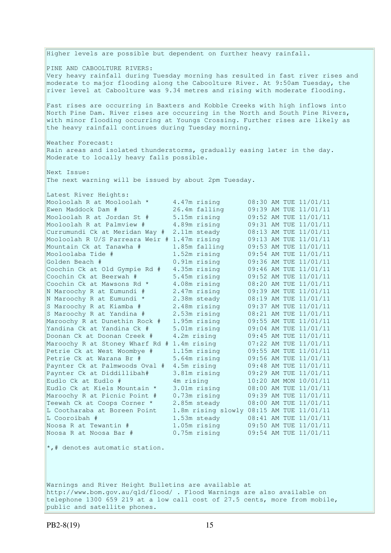Higher levels are possible but dependent on further heavy rainfall. PINE AND CABOOLTURE RIVERS: Very heavy rainfall during Tuesday morning has resulted in fast river rises and moderate to major flooding along the Caboolture River. At 9:50am Tuesday, the river level at Caboolture was 9.34 metres and rising with moderate flooding. Fast rises are occurring in Baxters and Kobble Creeks with high inflows into North Pine Dam. River rises are occurring in the North and South Pine Rivers, with minor flooding occurring at Youngs Crossing. Further rises are likely as the heavy rainfall continues during Tuesday morning. Weather Forecast: Rain areas and isolated thunderstorms, gradually easing later in the day. Moderate to locally heavy falls possible. Next Issue: The next warning will be issued by about 2pm Tuesday. Latest River Heights: Mooloolah R at Mooloolah \* 4.47m rising 08:30 AM TUE 11/01/11 Ewen Maddock Dam # 26.4m falling 09:39 AM TUE 11/01/11 Mooloolah R at Jordan St # 5.15m rising 09:52 AM TUE 11/01/11 Mooloolah R at Palmview # 4.89m rising 09:31 AM TUE 11/01/11 Currumundi Ck at Meridan Way # 2.11m steady 08:13 AM TUE 11/01/11 Mooloolah R U/S Parreara Weir # 1.47m rising 09:13 AM TUE 11/01/11 Mountain Ck at Tanawha # 1.85m falling 09:53 AM TUE 11/01/11 Mooloolaba Tide # 1.52m rising 09:54 AM TUE 11/01/11 Golden Beach # 0.91m rising 09:36 AM TUE 11/01/11 Coochin Ck at Old Gympie Rd # 4.35m rising 09:46 AM TUE 11/01/11 Coochin Ck at Beerwah # 5.45m rising 09:52 AM TUE 11/01/11 Coochin Ck at Mawsons Rd  $*$  4.08m rising  $08:20$  AM TUE  $11/01/11$ N Maroochy R at Eumundi # 2.47m rising 09:39 AM TUE 11/01/11 N Maroochy R at Eumundi \* 2.38m steady 08:19 AM TUE 11/01/11 S Maroochy R at Kiamba # 2.48m rising 09:37 AM TUE 11/01/11 S Maroochy R at Yandina # 2.53m rising 08:21 AM TUE 11/01/11 Maroochy R at Dunethin Rock # 1.95m rising 09:55 AM TUE 11/01/11 Yandina Ck at Yandina Ck # 5.01m rising 09:04 AM TUE 11/01/11 Doonan Ck at Doonan Creek # 4.2m rising 09:45 AM TUE 11/01/11 Maroochy R at Stoney Wharf Rd # 1.4m rising 07:22 AM TUE 11/01/11 Petrie Ck at West Woombye # 1.15m rising 09:55 AM TUE 11/01/11 Petrie Ck at Warana Br # 5.64m rising 09:56 AM TUE 11/01/11 Paynter Ck at Palmwoods Oval # 4.5m rising 09:48 AM TUE 11/01/11 Paynter Ck at Diddillibah# 3.81m rising 09:29 AM TUE 11/01/11 Eudlo Ck at Eudlo # 4m rising 10:20 AM MON 10/01/11 Eudlo Ck at Kiels Mountain \* 3.01m rising 08:00 AM TUE 11/01/11 Maroochy R at Picnic Point # 0.73m rising 09:39 AM TUE 11/01/11 Teewah Ck at Coops Corner \* 2.85m steady 08:00 AM TUE 11/01/11 L Cootharaba at Boreen Point 1.8m rising slowly 08:15 AM TUE 11/01/11 L Cooroibah # 1.53m steady 08:41 AM TUE 11/01/11 Noosa R at Tewantin # 1.05m rising 09:50 AM TUE 11/01/11 1.53m steady 108:41 AM TUE 11/01/11<br>1.05m rising 19:50 AM TUE 11/01/11<br>0.75m rising 19:54 AM TUE 11/01/11 Noosa R at Noosa Bar # \*,# denotes automatic station.

Warnings and River Height Bulletins are available at http://www.bom.gov.au/qld/flood/ . Flood Warnings are also available on telephone 1300 659 219 at a low call cost of 27.5 cents, more from mobile, public and satellite phones.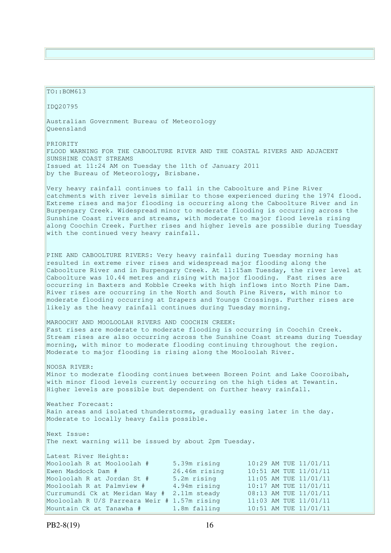#### TO::BOM613

IDQ20795

Australian Government Bureau of Meteorology Queensland

PRIORITY FLOOD WARNING FOR THE CABOOLTURE RIVER AND THE COASTAL RIVERS AND ADJACENT SUNSHINE COAST STREAMS Issued at 11:24 AM on Tuesday the 11th of January 2011 by the Bureau of Meteorology, Brisbane.

Very heavy rainfall continues to fall in the Caboolture and Pine River catchments with river levels similar to those experienced during the 1974 flood. Extreme rises and major flooding is occurring along the Caboolture River and in Burpengary Creek. Widespread minor to moderate flooding is occurring across the Sunshine Coast rivers and streams, with moderate to major flood levels rising along Coochin Creek. Further rises and higher levels are possible during Tuesday with the continued very heavy rainfall.

PINE AND CABOOLTURE RIVERS: Very heavy rainfall during Tuesday morning has resulted in extreme river rises and widespread major flooding along the Caboolture River and in Burpengary Creek. At 11:15am Tuesday, the river level at Caboolture was 10.44 metres and rising with major flooding. Fast rises are occurring in Baxters and Kobble Creeks with high inflows into North Pine Dam. River rises are occurring in the North and South Pine Rivers, with minor to moderate flooding occurring at Drapers and Youngs Crossings. Further rises are likely as the heavy rainfall continues during Tuesday morning.

## MAROOCHY AND MOOLOOLAH RIVERS AND COOCHIN CREEK:

Fast rises are moderate to moderate flooding is occurring in Coochin Creek. Stream rises are also occurring across the Sunshine Coast streams during Tuesday morning, with minor to moderate flooding continuing throughout the region. Moderate to major flooding is rising along the Mooloolah River.

NOOSA RIVER: Minor to moderate flooding continues between Boreen Point and Lake Cooroibah, with minor flood levels currently occurring on the high tides at Tewantin. Higher levels are possible but dependent on further heavy rainfall.

Weather Forecast: Rain areas and isolated thunderstorms, gradually easing later in the day. Moderate to locally heavy falls possible.

Next Issue: The next warning will be issued by about 2pm Tuesday.

Latest River Heights: Mooloolah R at Mooloolah # 5.39m rising 10:29 AM TUE 11/01/11 Ewen Maddock Dam # 26.46m rising 10:51 AM TUE 11/01/11 Mooloolah R at Jordan St # 5.2m rising 11:05 AM TUE 11/01/11 Mooloolah R at Palmview # 4.94m rising 10:17 AM TUE 11/01/11 Currumundi Ck at Meridan Way # 2.11m steady 08:13 AM TUE 11/01/11 Mooloolah R U/S Parreara Weir # 1.57m rising 11:03 AM TUE 11/01/11 Mountain Ck at Tanawha # 1.8m falling 10:51 AM TUE 11/01/11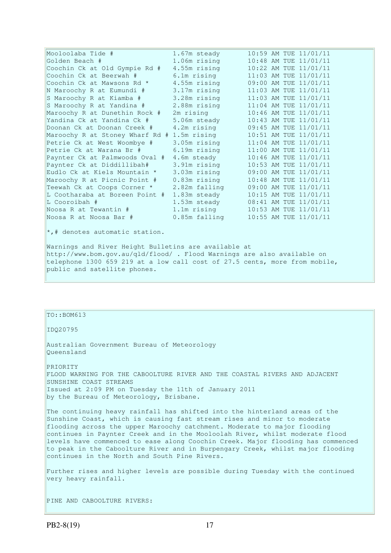| Mooloolaba Tide #               | 1.67m steady   |  | 10:59 AM TUE 11/01/11 |
|---------------------------------|----------------|--|-----------------------|
| Golden Beach #                  | 1.06m rising   |  | 10:48 AM TUE 11/01/11 |
| Coochin Ck at Old Gympie Rd #   | 4.55m rising   |  | 10:22 AM TUE 11/01/11 |
| Coochin Ck at Beerwah #         | 6.1m rising    |  | 11:03 AM TUE 11/01/11 |
| Coochin Ck at Mawsons Rd *      | 4.55m rising   |  | 09:00 AM TUE 11/01/11 |
| N Maroochy R at Eumundi #       | 3.17m rising   |  | 11:03 AM TUE 11/01/11 |
| S Maroochy R at Kiamba #        | 3.28m rising   |  | 11:03 AM TUE 11/01/11 |
| S Maroochy R at Yandina #       | 2.88m rising   |  | 11:04 AM TUE 11/01/11 |
| Maroochy R at Dunethin Rock #   | 2m rising      |  | 10:46 AM TUE 11/01/11 |
| Yandina Ck at Yandina Ck #      | 5.06m steady   |  | 10:43 AM TUE 11/01/11 |
| Doonan Ck at Doonan Creek #     | 4.2m rising    |  | 09:45 AM TUE 11/01/11 |
| Maroochy R at Stoney Wharf Rd # | 1.5m rising    |  | 10:51 AM TUE 11/01/11 |
| Petrie Ck at West Woombye #     | 3.05m rising   |  | 11:04 AM TUE 11/01/11 |
| Petrie Ck at Warana Br #        | 6.19m rising   |  | 11:00 AM TUE 11/01/11 |
| Paynter Ck at Palmwoods Oval #  | 4.6m steady    |  | 10:46 AM TUE 11/01/11 |
| Paynter Ck at Diddillibah#      | 3.91m rising   |  | 10:53 AM TUE 11/01/11 |
| Eudlo Ck at Kiels Mountain *    | 3.03m rising   |  | 09:00 AM TUE 11/01/11 |
| Maroochy R at Picnic Point #    | $0.83m$ rising |  | 10:48 AM TUE 11/01/11 |
| Teewah Ck at Coops Corner *     | 2.82m falling  |  | 09:00 AM TUE 11/01/11 |
| L Cootharaba at Boreen Point #  | 1.83m steady   |  | 10:15 AM TUE 11/01/11 |
| L Cooroibah #                   | 1.53m steady   |  | 08:41 AM TUE 11/01/11 |
| Noosa R at Tewantin #           | 1.1m rising    |  | 10:53 AM TUE 11/01/11 |
| Noosa R at Noosa Bar #          | 0.85m falling  |  | 10:55 AM TUE 11/01/11 |
|                                 |                |  |                       |

\*,# denotes automatic station.

Warnings and River Height Bulletins are available at http://www.bom.gov.au/qld/flood/ . Flood Warnings are also available on telephone 1300 659 219 at a low call cost of 27.5 cents, more from mobile, public and satellite phones.

# $TO::BOM613$

IDQ20795

Australian Government Bureau of Meteorology Queensland

PRIORITY FLOOD WARNING FOR THE CABOOLTURE RIVER AND THE COASTAL RIVERS AND ADJACENT SUNSHINE COAST STREAMS Issued at 2:09 PM on Tuesday the 11th of January 2011 by the Bureau of Meteorology, Brisbane.

The continuing heavy rainfall has shifted into the hinterland areas of the Sunshine Coast, which is causing fast stream rises and minor to moderate flooding across the upper Maroochy catchment. Moderate to major flooding continues in Paynter Creek and in the Mooloolah River, whilst moderate flood levels have commenced to ease along Coochin Creek. Major flooding has commenced to peak in the Caboolture River and in Burpengary Creek, whilst major flooding continues in the North and South Pine Rivers.

Further rises and higher levels are possible during Tuesday with the continued very heavy rainfall.

PINE AND CABOOLTURE RIVERS: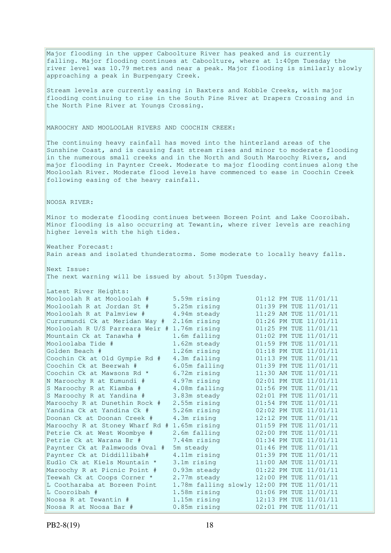Major flooding in the upper Caboolture River has peaked and is currently falling. Major flooding continues at Caboolture, where at 1:40pm Tuesday the river level was 10.79 metres and near a peak. Major flooding is similarly slowly approaching a peak in Burpengary Creek. Stream levels are currently easing in Baxters and Kobble Creeks, with major flooding continuing to rise in the South Pine River at Drapers Crossing and in the North Pine River at Youngs Crossing. MAROOCHY AND MOOLOOLAH RIVERS AND COOCHIN CREEK: The continuing heavy rainfall has moved into the hinterland areas of the Sunshine Coast, and is causing fast stream rises and minor to moderate flooding in the numerous small creeks and in the North and South Maroochy Rivers, and major flooding in Paynter Creek. Moderate to major flooding continues along the Mooloolah River. Moderate flood levels have commenced to ease in Coochin Creek following easing of the heavy rainfall. NOOSA RIVER: Minor to moderate flooding continues between Boreen Point and Lake Cooroibah. Minor flooding is also occurring at Tewantin, where river levels are reaching higher levels with the high tides. Weather Forecast: Rain areas and isolated thunderstorms. Some moderate to locally heavy falls. Next Issue: The next warning will be issued by about 5:30pm Tuesday. Latest River Heights: Mooloolah R at Mooloolah # 5.59m rising 01:12 PM TUE 11/01/11 Mooloolah R at Jordan St # 5.25m rising 01:39 PM TUE 11/01/11 Mooloolah R at Palmview  $\#$  4.94m steady  $11:29$  AM TUE  $11/01/11$ Currumundi Ck at Meridan Way # 2.16m rising 01:26 PM TUE 11/01/11 Mooloolah R U/S Parreara Weir # 1.76m rising 01:25 PM TUE 11/01/11 Mountain Ck at Tanawha # 1.6m falling 01:02 PM TUE 11/01/11 Mooloolaba Tide # 1.62m steady 01:59 PM TUE 11/01/11 Golden Beach # 1.26m rising 01:18 PM TUE 11/01/11 Coochin Ck at Old Gympie Rd # 4.3m falling 01:13 PM TUE 11/01/11 Coochin Ck at Beerwah # 6.05m falling 01:39 PM TUE 11/01/11 Coochin Ck at Mawsons Rd  $*$  6.72m rising 11:30 AM TUE 11/01/11 N Maroochy R at Eumundi # 4.97m rising 02:01 PM TUE 11/01/11 S Maroochy R at Kiamba # 4.08m falling 01:56 PM TUE 11/01/11 S Maroochy R at Yandina # 3.83m steady 02:01 PM TUE 11/01/11 Maroochy R at Dunethin Rock # 2.55m rising 01:54 PM TUE 11/01/11 Yandina Ck at Yandina Ck # 5.26m rising 02:02 PM TUE 11/01/11 Doonan Ck at Doonan Creek # 4.3m rising 12:12 PM TUE 11/01/11 Maroochy R at Stoney Wharf Rd # 1.65m rising 01:59 PM TUE 11/01/11 Petrie Ck at West Woombye # 2.6m falling 02:00 PM TUE 11/01/11 Petrie Ck at Warana Br # 7.44m rising 01:34 PM TUE 11/01/11 Paynter Ck at Palmwoods Oval # 5m steady 01:46 PM TUE 11/01/11 Paynter Ck at Diddillibah# 4.11m rising 01:39 PM TUE 11/01/11 Eudlo Ck at Kiels Mountain  $*$  3.1m rising 11:00 AM TUE 11/01/11 Maroochy R at Picnic Point # 0.93m steady 01:22 PM TUE 11/01/11 Teewah Ck at Coops Corner \* 2.77m steady 12:00 PM TUE 11/01/11 L Cootharaba at Boreen Point 1.78m falling slowly 12:00 PM TUE 11/01/11 L Cooroibah # 1.58m rising 01:06 PM TUE 11/01/11 Noosa R at Tewantin # 1.15m rising 12:13 PM TUE 11/01/11 Noosa R at Noosa Bar # 0.85m rising 02:01 PM TUE 11/01/11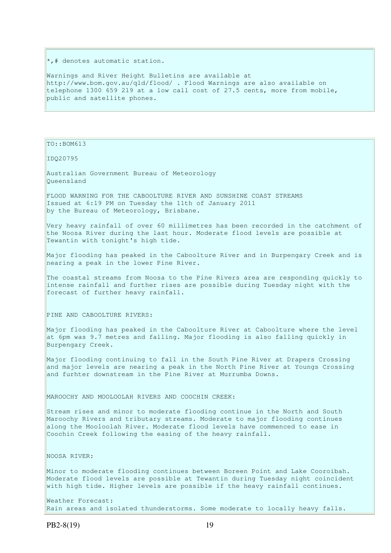\*,# denotes automatic station.

Warnings and River Height Bulletins are available at http://www.bom.gov.au/qld/flood/ . Flood Warnings are also available on telephone 1300 659 219 at a low call cost of 27.5 cents, more from mobile, public and satellite phones.

TO::BOM613

IDQ20795

Australian Government Bureau of Meteorology Queensland

FLOOD WARNING FOR THE CABOOLTURE RIVER AND SUNSHINE COAST STREAMS Issued at 6:19 PM on Tuesday the 11th of January 2011 by the Bureau of Meteorology, Brisbane.

Very heavy rainfall of over 60 millimetres has been recorded in the catchment of the Noosa River during the last hour. Moderate flood levels are possible at Tewantin with tonight's high tide.

Major flooding has peaked in the Caboolture River and in Burpengary Creek and is nearing a peak in the lower Pine River.

The coastal streams from Noosa to the Pine Rivers area are responding quickly to intense rainfall and further rises are possible during Tuesday night with the forecast of further heavy rainfall.

PINE AND CABOOLTURE RIVERS:

Major flooding has peaked in the Caboolture River at Caboolture where the level at 6pm was 9.7 metres and falling. Major flooding is also falling quickly in Burpengary Creek.

Major flooding continuing to fall in the South Pine River at Drapers Crossing and major levels are nearing a peak in the North Pine River at Youngs Crossing and furhter downstream in the Pine River at Murrumba Downs.

MAROOCHY AND MOOLOOLAH RIVERS AND COOCHIN CREEK:

Stream rises and minor to moderate flooding continue in the North and South Maroochy Rivers and tributary streams. Moderate to major flooding continues along the Mooloolah River. Moderate flood levels have commenced to ease in Coochin Creek following the easing of the heavy rainfall.

NOOSA RIVER:

Minor to moderate flooding continues between Boreen Point and Lake Cooroibah. Moderate flood levels are possible at Tewantin during Tuesday night coincident with high tide. Higher levels are possible if the heavy rainfall continues.

Weather Forecast: Rain areas and isolated thunderstorms. Some moderate to locally heavy falls.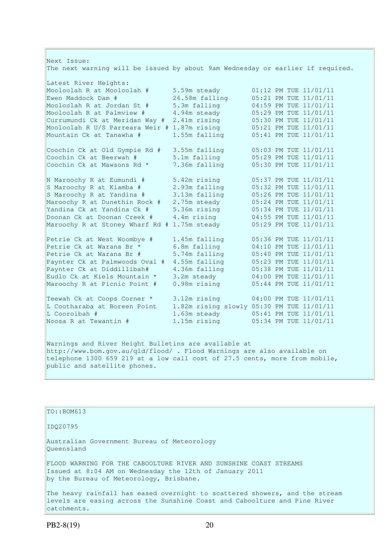| Next Issue:                                                                    |                |                                           |
|--------------------------------------------------------------------------------|----------------|-------------------------------------------|
| The next warning will be issued by about 9am Wednesday or earlier if required. |                |                                           |
| Latest River Heights:                                                          |                |                                           |
| Mooloolah R at Mooloolah #                                                     | 5.59m steady   | 01:12 PM TUE 11/01/11                     |
| Ewen Maddock Dam #                                                             | 26.58m falling | 05:21 PM TUE 11/01/11                     |
| Mooloolah R at Jordan St #                                                     | 5.3m falling   | 04:59 PM TUE 11/01/11                     |
| Mooloolah R at Palmview #                                                      | 4.94m steady   | 05:29 PM TUE 11/01/11                     |
| Currumundi Ck at Meridan Way #                                                 | 2.41m rising   | 05:30 PM TUE 11/01/11                     |
| Mooloolah R U/S Parreara Weir # 1.87m rising                                   |                | 05:21 PM TUE 11/01/11                     |
| Mountain Ck at Tanawha #                                                       | 1.55m falling  | 05:41 PM TUE 11/01/11                     |
| Coochin Ck at Old Gympie Rd #                                                  | 3.55m falling  | 05:03 PM TUE 11/01/11                     |
| Coochin Ck at Beerwah #                                                        | 5.1m falling   | 05:29 PM TUE 11/01/11                     |
| Coochin Ck at Mawsons Rd *                                                     | 7.36m falling  | 05:30 PM TUE 11/01/11                     |
| N Maroochy R at Eumundi #                                                      | 5.42m rising   | 05:37 PM TUE 11/01/11                     |
| S Maroochy R at Kiamba #                                                       | 2.93m falling  | 05:32 PM TUE 11/01/11                     |
| S Maroochy R at Yandina #                                                      | 3.13m falling  | 05:26 PM TUE 11/01/11                     |
| Maroochy R at Dunethin Rock #                                                  | 2.75m steady   | 05:24 PM TUE 11/01/11                     |
| Yandina Ck at Yandina Ck #                                                     | 5.36m rising   | 05:34 PM TUE 11/01/11                     |
| Doonan Ck at Doonan Creek #                                                    | 4.4m rising    | 04:55 PM TUE 11/01/11                     |
| Maroochy R at Stoney Wharf Rd # 1.75m steady                                   |                | 05:29 PM TUE 11/01/11                     |
| Petrie Ck at West Woombye #                                                    | 1.45m falling  | 05:36 PM TUE 11/01/11                     |
| Petrie Ck at Warana Br *                                                       | 6.8m falling   | 04:10 PM TUE 11/01/11                     |
| Petrie Ck at Warana Br #                                                       | 5.74m falling  | 05:40 PM TUE 11/01/11                     |
| Paynter Ck at Palmwoods Oval #                                                 | 4.55m falling  | 05:23 PM TUE 11/01/11                     |
| Paynter Ck at Diddillibah#                                                     | 4.36m falling  | 05:38 PM TUE 11/01/11                     |
| Eudlo Ck at Kiels Mountain *                                                   | 3.2m steady    | 04:00 PM TUE 11/01/11                     |
| Maroochy R at Picnic Point #                                                   | 0.98m rising   | 05:44 PM TUE 11/01/11                     |
| Teewah Ck at Coops Corner *                                                    | 3.12m rising   | 04:00 PM TUE 11/01/11                     |
| L Cootharaba at Boreen Point                                                   |                | 1.82m rising slowly 05:30 PM TUE 11/01/11 |
| L Cooroibah #                                                                  | 1.63m steady   | 05:41 PM TUE 11/01/11                     |
| Noosa R at Tewantin #                                                          | 1.15m rising   | 05:34 PM TUE 11/01/11                     |
|                                                                                |                |                                           |

Warnings and River Height Bulletins are available at http://www.bom.gov.au/qld/flood/ . Flood Warnings are also available on telephone 1300 659 219 at a low call cost of 27.5 cents, more from mobile, public and satellite phones.

## $\vert$ TO::BOM613

IDQ20795

Australian Government Bureau of Meteorology Queensland

FLOOD WARNING FOR THE CABOOLTURE RIVER AND SUNSHINE COAST STREAMS Issued at 8:04 AM on Wednesday the 12th of January 2011 by the Bureau of Meteorology, Brisbane.

The heavy rainfall has eased overnight to scattered showers, and the stream levels are easing across the Sunshine Coast and Caboolture and Pine River catchments.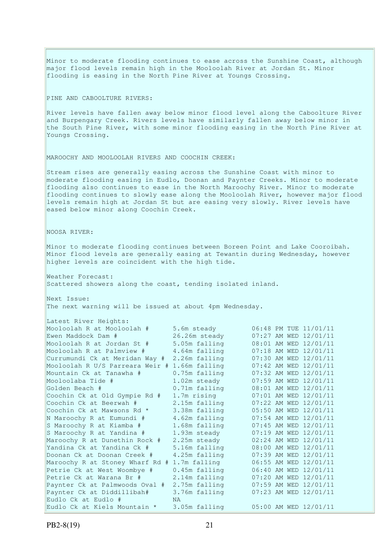PINE AND CABOOLTURE RIVERS: River levels have fallen away below minor flood level along the Caboolture River and Burpengary Creek. Rivers levels have similarly fallen away below minor in the South Pine River, with some minor flooding easing in the North Pine River at Youngs Crossing. MAROOCHY AND MOOLOOLAH RIVERS AND COOCHIN CREEK: Stream rises are generally easing across the Sunshine Coast with minor to moderate flooding easing in Eudlo, Doonan and Paynter Creeks. Minor to moderate flooding also continues to ease in the North Maroochy River. Minor to moderate flooding continues to slowly ease along the Mooloolah River, however major flood levels remain high at Jordan St but are easing very slowly. River levels have eased below minor along Coochin Creek. NOOSA RIVER: Minor to moderate flooding continues between Boreen Point and Lake Cooroibah. Minor flood levels are generally easing at Tewantin during Wednesday, however higher levels are coincident with the high tide. Weather Forecast: Scattered showers along the coast, tending isolated inland. Next Issue: The next warning will be issued at about 4pm Wednesday. Latest River Heights:<br>Mooloolah R at Mooloolah # 5.6m steady Mooloolah R at Mooloolah # 5.6m steady 06:48 PM TUE 11/01/11 Ewen Maddock Dam # 26.26m steady 07:27 AM WED 12/01/11 Mooloolah R at Jordan St # 5.05m falling 08:01 AM WED 12/01/11 Mooloolah R at Palmview # 4.64m falling 07:18 AM WED 12/01/11 Currumundi Ck at Meridan Way # 2.26m falling 07:30 AM WED 12/01/11 Mooloolah R U/S Parreara Weir # 1.66m falling 07:42 AM WED 12/01/11 Mountain Ck at Tanawha # 0.75m falling 07:32 AM WED 12/01/11 Mooloolaba Tide # 1.02m steady 07:59 AM WED 12/01/11 Golden Beach # 0.71m falling 08:01 AM WED 12/01/11 Coochin Ck at Old Gympie Rd # 1.7m rising 07:01 AM WED 12/01/11 Coochin Ck at Beerwah # 2.15m falling 07:22 AM WED 12/01/11 Coochin Ck at Mawsons Rd  $\star$  3.38m falling  $05:50$  AM WED  $12/01/11$ N Maroochy R at Eumundi # 4.62m falling 07:54 AM WED 12/01/11 S Maroochy R at Kiamba # 1.68m falling 07:45 AM WED 12/01/11 S Maroochy R at Yandina # 1.93m steady 07:19 AM WED 12/01/11 Maroochy R at Dunethin Rock # 2.25m steady 02:24 AM WED 12/01/11 Yandina Ck at Yandina Ck # 5.16m falling 08:00 AM WED 12/01/11 Doonan Ck at Doonan Creek # 4.25m falling 07:39 AM WED 12/01/11 Maroochy R at Stoney Wharf Rd # 1.7m falling 06:55 AM WED 12/01/11 Petrie Ck at West Woombye # 0.45m falling 06:40 AM WED 12/01/11 Petrie Ck at Warana Br # 2.14m falling 07:20 AM WED 12/01/11 Paynter Ck at Palmwoods Oval # 2.75m falling 07:59 AM WED 12/01/11 Paynter Ck at Diddillibah# 3.76m falling 07:23 AM WED 12/01/11 Eudlo Ck at Eudlo # NA Eudlo Ck at Kiels Mountain \* 3.05m falling 05:00 AM WED 12/01/11

Minor to moderate flooding continues to ease across the Sunshine Coast, although

major flood levels remain high in the Mooloolah River at Jordan St. Minor

flooding is easing in the North Pine River at Youngs Crossing.

PB2-8(19) 21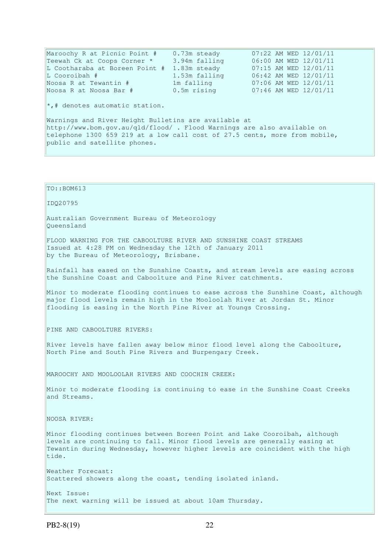Maroochy R at Picnic Point # 0.73m steady 07:22 AM WED 12/01/11 Teewah Ck at Coops Corner \* 3.94m falling 06:00 AM WED 12/01/11 L Cootharaba at Boreen Point # 1.83m steady 07:15 AM WED 12/01/11 L Cooroibah # 1.53m falling 06:42 AM WED 12/01/11 Noosa R at Tewantin # 1m falling 07:06 AM WED 12/01/11<br>Noosa R at Noosa Bar # 0.5m rising 07:46 AM WED 12/01/11 Noosa R at Noosa Bar # 0.5m rising 07:46 AM WED 12/01/11  $\star$ ,# denotes automatic station. Warnings and River Height Bulletins are available at http://www.bom.gov.au/qld/flood/ . Flood Warnings are also available on telephone 1300 659 219 at a low call cost of 27.5 cents, more from mobile, public and satellite phones. TO::BOM613 IDQ20795 Australian Government Bureau of Meteorology Queensland FLOOD WARNING FOR THE CABOOLTURE RIVER AND SUNSHINE COAST STREAMS Issued at 4:28 PM on Wednesday the 12th of January 2011 by the Bureau of Meteorology, Brisbane. Rainfall has eased on the Sunshine Coasts, and stream levels are easing across the Sunshine Coast and Caboolture and Pine River catchments. Minor to moderate flooding continues to ease across the Sunshine Coast, although major flood levels remain high in the Mooloolah River at Jordan St. Minor flooding is easing in the North Pine River at Youngs Crossing. PINE AND CABOOLTURE RIVERS: River levels have fallen away below minor flood level along the Caboolture, North Pine and South Pine Rivers and Burpengary Creek. MAROOCHY AND MOOLOOLAH RIVERS AND COOCHIN CREEK: Minor to moderate flooding is continuing to ease in the Sunshine Coast Creeks and Streams. NOOSA RIVER: Minor flooding continues between Boreen Point and Lake Cooroibah, although levels are continuing to fall. Minor flood levels are generally easing at Tewantin during Wednesday, however higher levels are coincident with the high tide. Weather Forecast: Scattered showers along the coast, tending isolated inland. Next Issue: The next warning will be issued at about 10am Thursday.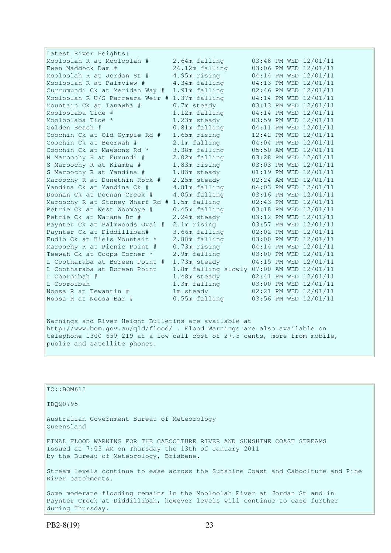| Latest River Heights:                         |                                           |  |                       |
|-----------------------------------------------|-------------------------------------------|--|-----------------------|
| Mooloolah R at Mooloolah #                    | 2.64m falling                             |  | 03:48 PM WED 12/01/11 |
| Ewen Maddock Dam #                            | 26.12m falling                            |  | 03:06 PM WED 12/01/11 |
| Mooloolah R at Jordan St #                    | 4.95m rising                              |  | 04:14 PM WED 12/01/11 |
| Mooloolah R at Palmyiew #                     | 4.34m falling                             |  | 04:13 PM WED 12/01/11 |
| Currumundi Ck at Meridan Way #                | 1.91m falling                             |  | 02:46 PM WED 12/01/11 |
| Mooloolah R U/S Parreara Weir # 1.37m falling |                                           |  | 04:14 PM WED 12/01/11 |
| Mountain Ck at Tanawha #                      | $0.7m$ steady                             |  | 03:13 PM WED 12/01/11 |
| Mooloolaba Tide #                             | 1.12m falling                             |  | 04:14 PM WED 12/01/11 |
| Mooloolaba Tide *                             | 1.23m steady                              |  | 03:59 PM WED 12/01/11 |
| Golden Beach #                                | 0.81m falling                             |  | 04:11 PM WED 12/01/11 |
| Coochin Ck at Old Gympie Rd #                 | 1.65m rising                              |  | 12:42 PM WED 12/01/11 |
| Coochin Ck at Beerwah #                       | 2.1m falling                              |  | 04:04 PM WED 12/01/11 |
| Coochin Ck at Mawsons Rd *                    | 3.38m falling                             |  | 05:50 AM WED 12/01/11 |
| N Maroochy R at Eumundi #                     | 2.02m falling                             |  | 03:28 PM WED 12/01/11 |
| S Maroochy R at Kiamba #                      | 1.83m rising                              |  | 03:03 PM WED 12/01/11 |
| S Maroochy R at Yandina #                     | 1.83m steady                              |  | 01:19 PM WED 12/01/11 |
| Maroochy R at Dunethin Rock #                 | 2.25m steady                              |  | 02:24 AM WED 12/01/11 |
| Yandina Ck at Yandina Ck #                    | 4.81m falling                             |  | 04:03 PM WED 12/01/11 |
| Doonan Ck at Doonan Creek #                   | 4.05m falling                             |  | 03:16 PM WED 12/01/11 |
| Maroochy R at Stoney Wharf Rd # 1.5m falling  |                                           |  | 02:43 PM WED 12/01/11 |
| Petrie Ck at West Woombye #                   | 0.45m falling                             |  | 03:18 PM WED 12/01/11 |
| Petrie Ck at Warana Br #                      | 2.24m steady                              |  | 03:12 PM WED 12/01/11 |
| Paynter Ck at Palmwoods Oval #                | 2.1m rising                               |  | 03:57 PM WED 12/01/11 |
| Paynter Ck at Diddillibah#                    | 3.66m falling                             |  | 02:02 PM WED 12/01/11 |
| Eudlo Ck at Kiels Mountain *                  | 2.88m falling                             |  | 03:00 PM WED 12/01/11 |
| Maroochy R at Picnic Point #                  | 0.73m rising                              |  | 04:14 PM WED 12/01/11 |
| Teewah Ck at Coops Corner *                   | 2.9m falling                              |  | 03:00 PM WED 12/01/11 |
| L Cootharaba at Boreen Point #                | 1.73m steady                              |  | 04:15 PM WED 12/01/11 |
| L Cootharaba at Boreen Point                  | 1.8m falling slowly 07:00 AM WED 12/01/11 |  |                       |
| L Cooroibah #                                 | 1.48m steady                              |  | 02:41 PM WED 12/01/11 |
| L Cooroibah                                   | 1.3m falling                              |  | 03:00 PM WED 12/01/11 |
| Noosa R at Tewantin #                         | 1m steady                                 |  | 02:21 PM WED 12/01/11 |
| Noosa R at Noosa Bar #                        | 0.55m falling                             |  | 03:56 PM WED 12/01/11 |

Warnings and River Height Bulletins are available at http://www.bom.gov.au/qld/flood/ . Flood Warnings are also available on telephone 1300 659 219 at a low call cost of 27.5 cents, more from mobile, public and satellite phones.

| $TO: BOM613$                                                                                                                                                                 |
|------------------------------------------------------------------------------------------------------------------------------------------------------------------------------|
| ID020795                                                                                                                                                                     |
| Australian Government Bureau of Meteorology<br>Oueensland                                                                                                                    |
| FINAL FLOOD WARNING FOR THE CABOOLTURE RIVER AND SUNSHINE COAST STREAMS<br>Issued at 7:03 AM on Thursday the 13th of January 2011<br>by the Bureau of Meteorology, Brisbane. |
| Stream levels continue to ease across the Sunshine Coast and Caboolture and Pine<br>River catchments.                                                                        |
| Some moderate flooding remains in the Mooloolah River at Jordan St and in<br>Paynter Creek at Diddillibah, however levels will continue to ease further<br>during Thursday.  |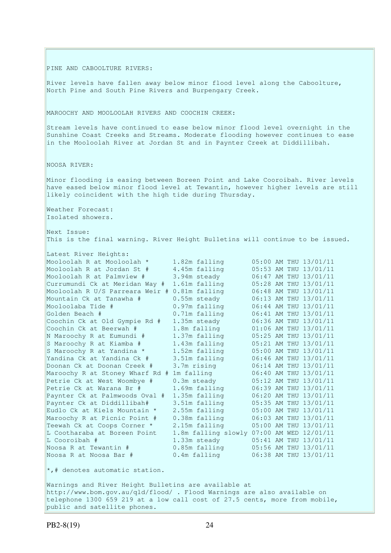PINE AND CABOOLTURE RIVERS:

River levels have fallen away below minor flood level along the Caboolture, North Pine and South Pine Rivers and Burpengary Creek.

MAROOCHY AND MOOLOOLAH RIVERS AND COOCHIN CREEK:

Stream levels have continued to ease below minor flood level overnight in the Sunshine Coast Creeks and Streams. Moderate flooding however continues to ease in the Mooloolah River at Jordan St and in Paynter Creek at Diddillibah.

NOOSA RIVER:

Minor flooding is easing between Boreen Point and Lake Cooroibah. River levels have eased below minor flood level at Tewantin, however higher levels are still likely coincident with the high tide during Thursday.

Weather Forecast: Isolated showers.

Latest River Heights:

Next Issue: This is the final warning. River Height Bulletins will continue to be issued.

| Latest kiver heights:           |                     |  |                       |
|---------------------------------|---------------------|--|-----------------------|
| Mooloolah R at Mooloolah *      | 1.82m falling       |  | 05:00 AM THU 13/01/11 |
| Mooloolah R at Jordan St #      | 4.45m falling       |  | 05:53 AM THU 13/01/11 |
| Mooloolah R at Palmview #       | 3.94m steady        |  | 06:47 AM THU 13/01/11 |
| Currumundi Ck at Meridan Way #  | 1.61m falling       |  | 05:28 AM THU 13/01/11 |
| Mooloolah R U/S Parreara Weir # | 0.81m falling       |  | 06:48 AM THU 13/01/11 |
| Mountain Ck at Tanawha #        | 0.55m steady        |  | 06:13 AM THU 13/01/11 |
| Mooloolaba Tide #               | $0.97m$ falling     |  | 06:44 AM THU 13/01/11 |
| Golden Beach #                  | 0.71m falling       |  | 06:41 AM THU 13/01/11 |
| Coochin Ck at Old Gympie Rd #   | 1.35m steady        |  | 06:36 AM THU 13/01/11 |
| Coochin Ck at Beerwah #         | 1.8m falling        |  | 01:06 AM THU 13/01/11 |
| N Maroochy R at Eumundi #       | 1.37m falling       |  | 05:25 AM THU 13/01/11 |
| S Maroochy R at Kiamba #        | 1.43m falling       |  | 05:21 AM THU 13/01/11 |
| S Maroochy R at Yandina *       | 1.52m falling       |  | 05:00 AM THU 13/01/11 |
| Yandina Ck at Yandina Ck #      | 3.51m falling       |  | 06:46 AM THU 13/01/11 |
| Doonan Ck at Doonan Creek #     | 3.7m rising         |  | 06:14 AM THU 13/01/11 |
| Maroochy R at Stoney Wharf Rd # | 1m falling          |  | 06:40 AM THU 13/01/11 |
| Petrie Ck at West Woombye #     | 0.3m steady         |  | 05:12 AM THU 13/01/11 |
| Petrie Ck at Warana Br #        | 1.69m falling       |  | 06:39 AM THU 13/01/11 |
| Paynter Ck at Palmwoods Oval #  | 1.35m falling       |  | 06:20 AM THU 13/01/11 |
| Paynter Ck at Diddillibah#      | 3.51m falling       |  | 05:35 AM THU 13/01/11 |
| Eudlo Ck at Kiels Mountain *    | 2.55m falling       |  | 05:00 AM THU 13/01/11 |
| Maroochy R at Picnic Point #    | 0.38m falling       |  | 06:03 AM THU 13/01/11 |
| Teewah Ck at Coops Corner *     | 2.15m falling       |  | 05:00 AM THU 13/01/11 |
| L Cootharaba at Boreen Point    | 1.8m falling slowly |  | 07:00 AM WED 12/01/11 |
| L Cooroibah #                   | 1.33m steady        |  | 05:41 AM THU 13/01/11 |
| Noosa R at Tewantin #           | $0.85m$ falling     |  | 05:56 AM THU 13/01/11 |
| Noosa R at Noosa Bar #          | 0.4m falling        |  | 06:38 AM THU 13/01/11 |
|                                 |                     |  |                       |

\*,# denotes automatic station.

Warnings and River Height Bulletins are available at http://www.bom.gov.au/qld/flood/ . Flood Warnings are also available on telephone 1300 659 219 at a low call cost of 27.5 cents, more from mobile, public and satellite phones.